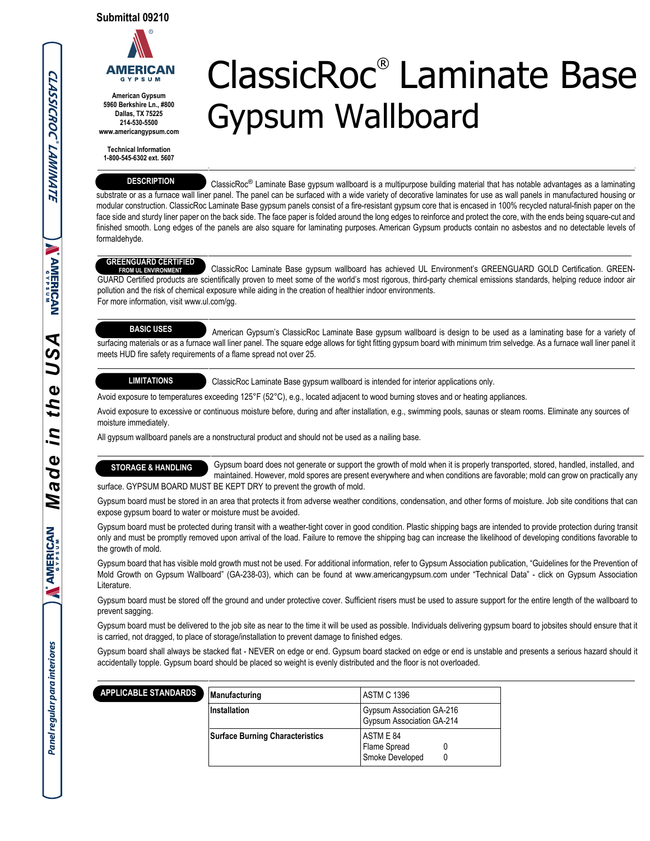

**American Gypsum 5960 Berkshire Ln., #800 Dallas, TX 75225 214-530-5500 www.americangypsum.com**

**Technical Information 1-800-545-6302 ext. 5607**

#### **DESCRIPTION**

# ClassicRoc® Laminate Base Gypsum Wallboard

 ClassicRoc® Laminate Base gypsum wallboard is a multipurpose building material that has notable advantages as a laminating substrate or as a furnace wall liner panel. The panel can be surfaced with a wide variety of decorative laminates for use as wall panels in manufactured housing or modular construction. ClassicRoc Laminate Base gypsum panels consist of a fire-resistant gypsum core that is encased in 100% recycled natural-finish paper on the face side and sturdy liner paper on the back side. The face paper is folded around the long edges to reinforce and protect the core, with the ends being square-cut and finished smooth. Long edges of the panels are also square for laminating purposes. American Gypsum products contain no asbestos and no detectable levels of formaldehyde.

#### **GREENGUARD CERTIFIED**

 ClassicRoc Laminate Base gypsum wallboard has achieved UL Environment's GREENGUARD GOLD Certification. GREEN-GUARD Certified products are scientifically proven to meet some of the world's most rigorous, third-party chemical emissions standards, helping reduce indoor air pollution and the risk of chemical exposure while aiding in the creation of healthier indoor environments. For more information, visit www.ul.com/gg. **FROM UL ENVIRONMENT**

# **BASIC USES**

 American Gypsum's ClassicRoc Laminate Base gypsum wallboard is design to be used as a laminating base for a variety of surfacing materials or as a furnace wall liner panel. The square edge allows for tight fitting gypsum board with minimum trim selvedge. As a furnace wall liner panel it meets HUD fire safety requirements of a flame spread not over 25.

## **LIMITATIONS**

ClassicRoc Laminate Base gypsum wallboard is intended for interior applications only.

Avoid exposure to temperatures exceeding 125°F (52°C), e.g., located adjacent to wood burning stoves and or heating appliances.

Avoid exposure to excessive or continuous moisture before, during and after installation, e.g., swimming pools, saunas or steam rooms. Eliminate any sources of moisture immediately.

All gypsum wallboard panels are a nonstructural product and should not be used as a nailing base.

 Gypsum board does not generate or support the growth of mold when it is properly transported, stored, handled, installed, and **STORAGE & HANDLING**

 maintained. However, mold spores are present everywhere and when conditions are favorable; mold can grow on practically any surface. GYPSUM BOARD MUST BE KEPT DRY to prevent the growth of mold.

Gypsum board must be stored in an area that protects it from adverse weather conditions, condensation, and other forms of moisture. Job site conditions that can expose gypsum board to water or moisture must be avoided.

Gypsum board must be protected during transit with a weather-tight cover in good condition. Plastic shipping bags are intended to provide protection during transit only and must be promptly removed upon arrival of the load. Failure to remove the shipping bag can increase the likelihood of developing conditions favorable to the growth of mold.

Gypsum board that has visible mold growth must not be used. For additional information, refer to Gypsum Association publication, "Guidelines for the Prevention of Mold Growth on Gypsum Wallboard" (GA-238-03), which can be found at www.americangypsum.com under "Technical Data" - click on Gypsum Association Literature.

Gypsum board must be stored off the ground and under protective cover. Sufficient risers must be used to assure support for the entire length of the wallboard to prevent sagging.

Gypsum board must be delivered to the job site as near to the time it will be used as possible. Individuals delivering gypsum board to jobsites should ensure that it is carried, not dragged, to place of storage/installation to prevent damage to finished edges.

Gypsum board shall always be stacked flat - NEVER on edge or end. Gypsum board stacked on edge or end is unstable and presents a serious hazard should it accidentally topple. Gypsum board should be placed so weight is evenly distributed and the floor is not overloaded.

| <b>ICABLE STANDARDS</b> | Manufacturing                          | <b>ASTM C 1396</b>                                     |  |  |
|-------------------------|----------------------------------------|--------------------------------------------------------|--|--|
|                         | Installation                           | Gypsum Association GA-216<br>Gypsum Association GA-214 |  |  |
|                         | <b>Surface Burning Characteristics</b> | ASTM E 84<br>Flame Spread<br>Smoke Developed           |  |  |

 $\tilde{ }$ 

APP